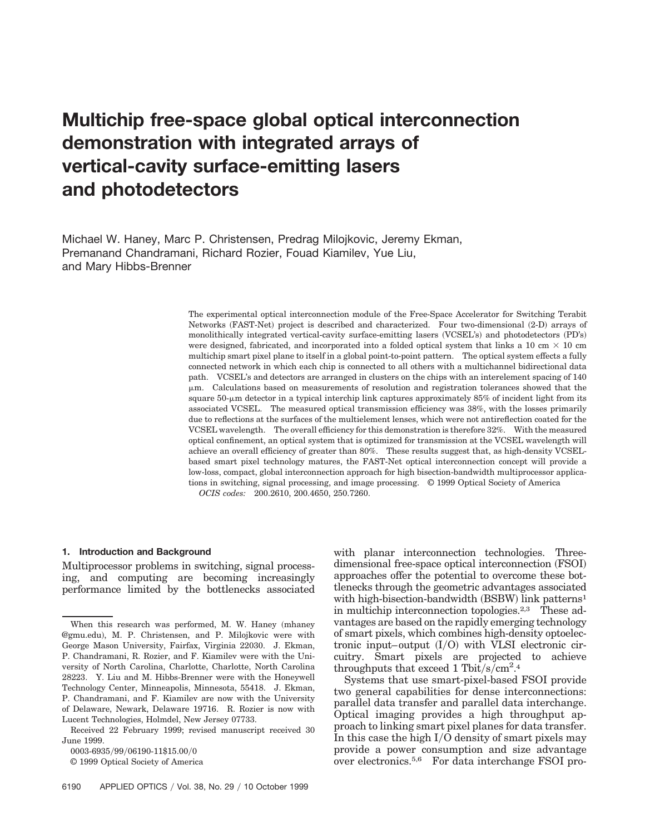# **Multichip free-space global optical interconnection demonstration with integrated arrays of vertical-cavity surface-emitting lasers and photodetectors**

Michael W. Haney, Marc P. Christensen, Predrag Milojkovic, Jeremy Ekman, Premanand Chandramani, Richard Rozier, Fouad Kiamilev, Yue Liu, and Mary Hibbs-Brenner

> The experimental optical interconnection module of the Free-Space Accelerator for Switching Terabit Networks (FAST-Net) project is described and characterized. Four two-dimensional (2-D) arrays of monolithically integrated vertical-cavity surface-emitting lasers (VCSEL's) and photodetectors (PD's) were designed, fabricated, and incorporated into a folded optical system that links a 10 cm  $\times$  10 cm multichip smart pixel plane to itself in a global point-to-point pattern. The optical system effects a fully connected network in which each chip is connected to all others with a multichannel bidirectional data path. VCSEL's and detectors are arranged in clusters on the chips with an interelement spacing of 140 mm. Calculations based on measurements of resolution and registration tolerances showed that the square  $50$ - $\mu$ m detector in a typical interchip link captures approximately 85% of incident light from its associated VCSEL. The measured optical transmission efficiency was 38%, with the losses primarily due to reflections at the surfaces of the multielement lenses, which were not antireflection coated for the VCSEL wavelength. The overall efficiency for this demonstration is therefore 32%. With the measured optical confinement, an optical system that is optimized for transmission at the VCSEL wavelength will achieve an overall efficiency of greater than 80%. These results suggest that, as high-density VCSELbased smart pixel technology matures, the FAST-Net optical interconnection concept will provide a low-loss, compact, global interconnection approach for high bisection-bandwidth multiprocessor applications in switching, signal processing, and image processing. © 1999 Optical Society of America *OCIS codes:* 200.2610, 200.4650, 250.7260.

## **1. Introduction and Background**

Multiprocessor problems in switching, signal processing, and computing are becoming increasingly performance limited by the bottlenecks associated

0003-6935/99/06190-11\$15.00/0

© 1999 Optical Society of America

with planar interconnection technologies. Threedimensional free-space optical interconnection (FSOI) approaches offer the potential to overcome these bottlenecks through the geometric advantages associated with high-bisection-bandwidth  $(BSBW)$  link patterns<sup>1</sup> in multichip interconnection topologies.2,3 These advantages are based on the rapidly emerging technology of smart pixels, which combines high-density optoelectronic input–output  $(I/O)$  with VLSI electronic circuitry. Smart pixels are projected to achieve throughputs that exceed 1 Tbit/s/cm<sup>2</sup>.<sup>4</sup>

Systems that use smart-pixel-based FSOI provide two general capabilities for dense interconnections: parallel data transfer and parallel data interchange. Optical imaging provides a high throughput approach to linking smart pixel planes for data transfer. In this case the high  $I/O$  density of smart pixels may provide a power consumption and size advantage over electronics.5,6 For data interchange FSOI pro-

When this research was performed, M. W. Haney (mhaney @gmu.edu), M. P. Christensen, and P. Milojkovic were with George Mason University, Fairfax, Virginia 22030. J. Ekman, P. Chandramani, R. Rozier, and F. Kiamilev were with the University of North Carolina, Charlotte, Charlotte, North Carolina 28223. Y. Liu and M. Hibbs-Brenner were with the Honeywell Technology Center, Minneapolis, Minnesota, 55418. J. Ekman, P. Chandramani, and F. Kiamilev are now with the University of Delaware, Newark, Delaware 19716. R. Rozier is now with Lucent Technologies, Holmdel, New Jersey 07733.

Received 22 February 1999; revised manuscript received 30 June 1999.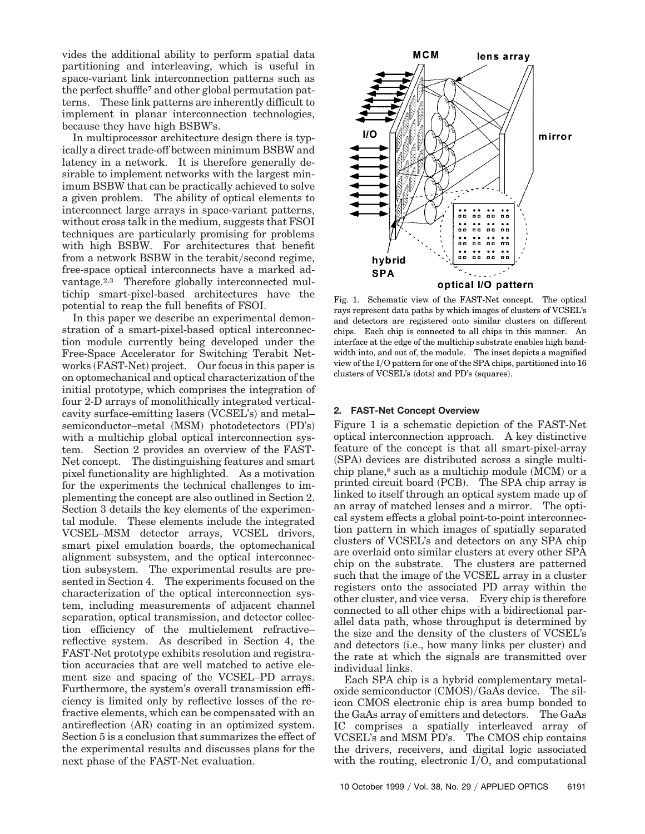vides the additional ability to perform spatial data partitioning and interleaving, which is useful in space-variant link interconnection patterns such as the perfect shuffle7 and other global permutation patterns. These link patterns are inherently difficult to implement in planar interconnection technologies, because they have high BSBW's.

In multiprocessor architecture design there is typically a direct trade-off between minimum BSBW and latency in a network. It is therefore generally desirable to implement networks with the largest minimum BSBW that can be practically achieved to solve a given problem. The ability of optical elements to interconnect large arrays in space-variant patterns, without cross talk in the medium, suggests that FSOI techniques are particularly promising for problems with high BSBW. For architectures that benefit from a network BSBW in the terabit/second regime, free-space optical interconnects have a marked advantage.<sup>2,3</sup> Therefore globally interconnected multichip smart-pixel-based architectures have the potential to reap the full benefits of FSOI.

In this paper we describe an experimental demonstration of a smart-pixel-based optical interconnection module currently being developed under the Free-Space Accelerator for Switching Terabit Networks (FAST-Net) project. Our focus in this paper is on optomechanical and optical characterization of the initial prototype, which comprises the integration of four 2-D arrays of monolithically integrated verticalcavity surface-emitting lasers (VCSEL's) and metal– semiconductor–metal (MSM) photodetectors (PD's) with a multichip global optical interconnection system. Section 2 provides an overview of the FAST-Net concept. The distinguishing features and smart pixel functionality are highlighted. As a motivation for the experiments the technical challenges to implementing the concept are also outlined in Section 2. Section 3 details the key elements of the experimental module. These elements include the integrated VCSEL–MSM detector arrays, VCSEL drivers, smart pixel emulation boards, the optomechanical alignment subsystem, and the optical interconnection subsystem. The experimental results are presented in Section 4. The experiments focused on the characterization of the optical interconnection system, including measurements of adjacent channel separation, optical transmission, and detector collection efficiency of the multielement refractive– reflective system. As described in Section 4, the FAST-Net prototype exhibits resolution and registration accuracies that are well matched to active element size and spacing of the VCSEL–PD arrays. Furthermore, the system's overall transmission efficiency is limited only by reflective losses of the refractive elements, which can be compensated with an antireflection (AR) coating in an optimized system. Section 5 is a conclusion that summarizes the effect of the experimental results and discusses plans for the next phase of the FAST-Net evaluation.



Fig. 1. Schematic view of the FAST-Net concept. The optical rays represent data paths by which images of clusters of VCSEL's and detectors are registered onto similar clusters on different chips. Each chip is connected to all chips in this manner. An interface at the edge of the multichip substrate enables high bandwidth into, and out of, the module. The inset depicts a magnified view of the IyO pattern for one of the SPA chips, partitioned into 16 clusters of VCSEL's (dots) and PD's (squares).

## **2. FAST-Net Concept Overview**

Figure 1 is a schematic depiction of the FAST-Net optical interconnection approach. A key distinctive feature of the concept is that all smart-pixel-array  $(SPA)$  devices are distributed across a single multichip plane, $8$  such as a multichip module (MCM) or a printed circuit board  $(PCB)$ . The SPA chip array is linked to itself through an optical system made up of an array of matched lenses and a mirror. The optical system effects a global point-to-point interconnection pattern in which images of spatially separated clusters of VCSEL's and detectors on any SPA chip are overlaid onto similar clusters at every other SPA chip on the substrate. The clusters are patterned such that the image of the VCSEL array in a cluster registers onto the associated PD array within the other cluster, and vice versa. Every chip is therefore connected to all other chips with a bidirectional parallel data path, whose throughput is determined by the size and the density of the clusters of VCSEL's and detectors (i.e., how many links per cluster) and the rate at which the signals are transmitted over individual links.

Each SPA chip is a hybrid complementary metal- $\alpha$ xide semiconductor  $\left(\frac{CMOS}{GaAs}\right)$ device. The silicon CMOS electronic chip is area bump bonded to the GaAs array of emitters and detectors. The GaAs IC comprises a spatially interleaved array of VCSEL's and MSM PD's. The CMOS chip contains the drivers, receivers, and digital logic associated with the routing, electronic  $I/O$ , and computational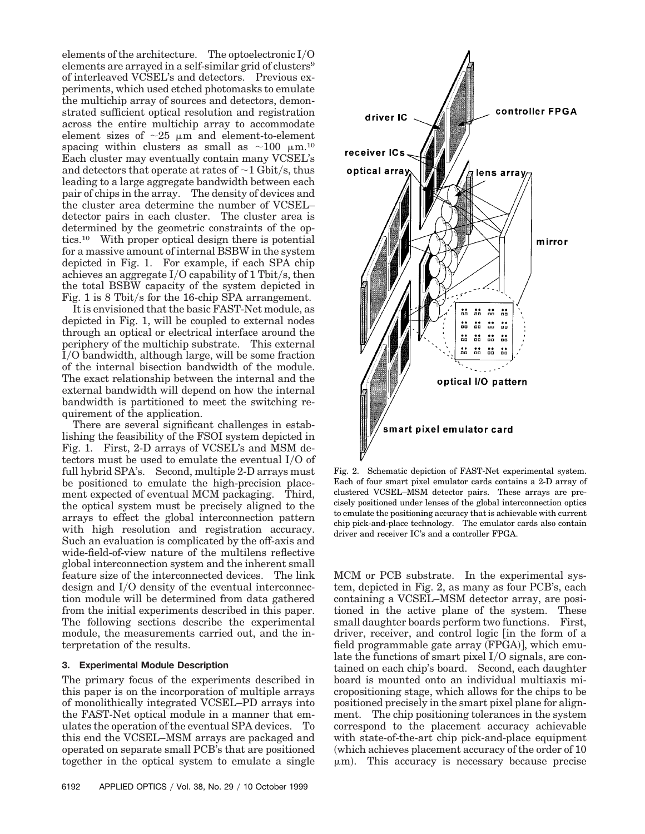elements of the architecture. The optoelectronic  $I/O$ elements are arrayed in a self-similar grid of clusters<sup>9</sup> of interleaved VCSEL's and detectors. Previous experiments, which used etched photomasks to emulate the multichip array of sources and detectors, demonstrated sufficient optical resolution and registration across the entire multichip array to accommodate element sizes of  $\sim$ 25  $\mu$ m and element-to-element spacing within clusters as small as  $\sim$ 100  $\mu$ m.<sup>10</sup> Each cluster may eventually contain many VCSEL's and detectors that operate at rates of  $\sim$ 1 Gbit/s, thus leading to a large aggregate bandwidth between each pair of chips in the array. The density of devices and the cluster area determine the number of VCSEL– detector pairs in each cluster. The cluster area is determined by the geometric constraints of the optics.10 With proper optical design there is potential for a massive amount of internal BSBW in the system depicted in Fig. 1. For example, if each SPA chip achieves an aggregate  $I/O$  capability of 1 Tbit/s, then the total BSBW capacity of the system depicted in Fig. 1 is 8 Tbit/s for the 16-chip SPA arrangement.

It is envisioned that the basic FAST-Net module, as depicted in Fig. 1, will be coupled to external nodes through an optical or electrical interface around the periphery of the multichip substrate. This external IyO bandwidth, although large, will be some fraction of the internal bisection bandwidth of the module. The exact relationship between the internal and the external bandwidth will depend on how the internal bandwidth is partitioned to meet the switching requirement of the application.

There are several significant challenges in establishing the feasibility of the FSOI system depicted in Fig. 1. First, 2-D arrays of VCSEL's and MSM detectors must be used to emulate the eventual  $I/O$  of full hybrid SPA's. Second, multiple 2-D arrays must be positioned to emulate the high-precision placement expected of eventual MCM packaging. Third, the optical system must be precisely aligned to the arrays to effect the global interconnection pattern with high resolution and registration accuracy. Such an evaluation is complicated by the off-axis and wide-field-of-view nature of the multilens reflective global interconnection system and the inherent small feature size of the interconnected devices. The link design and I/O density of the eventual interconnection module will be determined from data gathered from the initial experiments described in this paper. The following sections describe the experimental module, the measurements carried out, and the interpretation of the results.

## **3. Experimental Module Description**

The primary focus of the experiments described in this paper is on the incorporation of multiple arrays of monolithically integrated VCSEL–PD arrays into the FAST-Net optical module in a manner that emulates the operation of the eventual SPA devices. To this end the VCSEL–MSM arrays are packaged and operated on separate small PCB's that are positioned together in the optical system to emulate a single



Fig. 2. Schematic depiction of FAST-Net experimental system. Each of four smart pixel emulator cards contains a 2-D array of clustered VCSEL–MSM detector pairs. These arrays are precisely positioned under lenses of the global interconnection optics to emulate the positioning accuracy that is achievable with current chip pick-and-place technology. The emulator cards also contain driver and receiver IC's and a controller FPGA.

MCM or PCB substrate. In the experimental system, depicted in Fig. 2, as many as four PCB's, each containing a VCSEL–MSM detector array, are positioned in the active plane of the system. These small daughter boards perform two functions. First, driver, receiver, and control logic [in the form of a field programmable gate array  $(FPGA)$ , which emulate the functions of smart pixel  $I/O$  signals, are contained on each chip's board. Second, each daughter board is mounted onto an individual multiaxis micropositioning stage, which allows for the chips to be positioned precisely in the smart pixel plane for alignment. The chip positioning tolerances in the system correspond to the placement accuracy achievable with state-of-the-art chip pick-and-place equipment  $($ which achieves placement accuracy of the order of 10  $\mu$ m). This accuracy is necessary because precise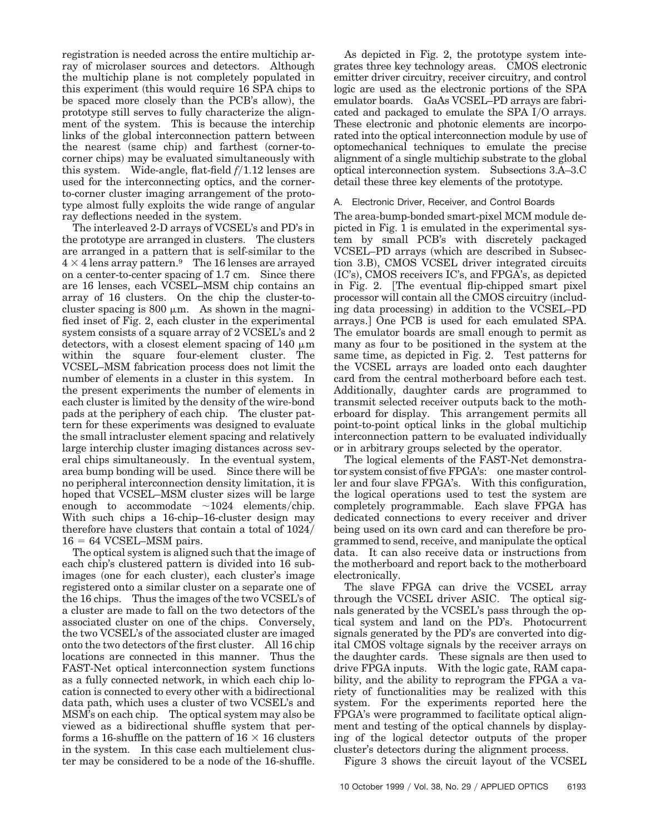registration is needed across the entire multichip array of microlaser sources and detectors. Although the multichip plane is not completely populated in this experiment (this would require 16 SPA chips to be spaced more closely than the PCB's allow), the prototype still serves to fully characterize the alignment of the system. This is because the interchip links of the global interconnection pattern between the nearest (same chip) and farthest (corner-tocorner chips) may be evaluated simultaneously with this system. Wide-angle, flat-field  $f/1.12$  lenses are used for the interconnecting optics, and the cornerto-corner cluster imaging arrangement of the prototype almost fully exploits the wide range of angular ray deflections needed in the system.

The interleaved 2-D arrays of VCSEL's and PD's in the prototype are arranged in clusters. The clusters are arranged in a pattern that is self-similar to the  $4 \times 4$  lens array pattern.<sup>9</sup> The 16 lenses are arrayed on a center-to-center spacing of 1.7 cm. Since there are 16 lenses, each VCSEL–MSM chip contains an array of 16 clusters. On the chip the cluster-tocluster spacing is  $800 \mu m$ . As shown in the magnified inset of Fig. 2, each cluster in the experimental system consists of a square array of 2 VCSEL's and 2 detectors, with a closest element spacing of 140  $\mu$ m within the square four-element cluster. The VCSEL–MSM fabrication process does not limit the number of elements in a cluster in this system. In the present experiments the number of elements in each cluster is limited by the density of the wire-bond pads at the periphery of each chip. The cluster pattern for these experiments was designed to evaluate the small intracluster element spacing and relatively large interchip cluster imaging distances across several chips simultaneously. In the eventual system, area bump bonding will be used. Since there will be no peripheral interconnection density limitation, it is hoped that VCSEL–MSM cluster sizes will be large enough to accommodate  $\sim$ 1024 elements/chip. With such chips a 16-chip–16-cluster design may therefore have clusters that contain a total of  $1024/$  $16 = 64$  VCSEL–MSM pairs.

The optical system is aligned such that the image of each chip's clustered pattern is divided into 16 subimages (one for each cluster), each cluster's image registered onto a similar cluster on a separate one of the 16 chips. Thus the images of the two VCSEL's of a cluster are made to fall on the two detectors of the associated cluster on one of the chips. Conversely, the two VCSEL's of the associated cluster are imaged onto the two detectors of the first cluster. All 16 chip locations are connected in this manner. Thus the FAST-Net optical interconnection system functions as a fully connected network, in which each chip location is connected to every other with a bidirectional data path, which uses a cluster of two VCSEL's and MSM's on each chip. The optical system may also be viewed as a bidirectional shuffle system that performs a 16-shuffle on the pattern of  $16 \times 16$  clusters in the system. In this case each multielement cluster may be considered to be a node of the 16-shuffle.

As depicted in Fig. 2, the prototype system integrates three key technology areas. CMOS electronic emitter driver circuitry, receiver circuitry, and control logic are used as the electronic portions of the SPA emulator boards. GaAs VCSEL–PD arrays are fabricated and packaged to emulate the SPA I/O arrays. These electronic and photonic elements are incorporated into the optical interconnection module by use of optomechanical techniques to emulate the precise alignment of a single multichip substrate to the global optical interconnection system. Subsections 3.A–3.C detail these three key elements of the prototype.

# A. Electronic Driver, Receiver, and Control Boards

The area-bump-bonded smart-pixel MCM module depicted in Fig. 1 is emulated in the experimental system by small PCB's with discretely packaged VCSEL–PD arrays (which are described in Subsection 3.B), CMOS VCSEL driver integrated circuits  $~(IC's)$ , CMOS receivers IC's, and FPGA's, as depicted in Fig. 2. The eventual flip-chipped smart pixel processor will contain all the CMOS circuitry (including data processing) in addition to the VCSEL–PD arrays.] One PCB is used for each emulated SPA. The emulator boards are small enough to permit as many as four to be positioned in the system at the same time, as depicted in Fig. 2. Test patterns for the VCSEL arrays are loaded onto each daughter card from the central motherboard before each test. Additionally, daughter cards are programmed to transmit selected receiver outputs back to the motherboard for display. This arrangement permits all point-to-point optical links in the global multichip interconnection pattern to be evaluated individually or in arbitrary groups selected by the operator.

The logical elements of the FAST-Net demonstrator system consist of five FPGA's: one master controller and four slave FPGA's. With this configuration, the logical operations used to test the system are completely programmable. Each slave FPGA has dedicated connections to every receiver and driver being used on its own card and can therefore be programmed to send, receive, and manipulate the optical data. It can also receive data or instructions from the motherboard and report back to the motherboard electronically.

The slave FPGA can drive the VCSEL array through the VCSEL driver ASIC. The optical signals generated by the VCSEL's pass through the optical system and land on the PD's. Photocurrent signals generated by the PD's are converted into digital CMOS voltage signals by the receiver arrays on the daughter cards. These signals are then used to drive FPGA inputs. With the logic gate, RAM capability, and the ability to reprogram the FPGA a variety of functionalities may be realized with this system. For the experiments reported here the FPGA's were programmed to facilitate optical alignment and testing of the optical channels by displaying of the logical detector outputs of the proper cluster's detectors during the alignment process.

Figure 3 shows the circuit layout of the VCSEL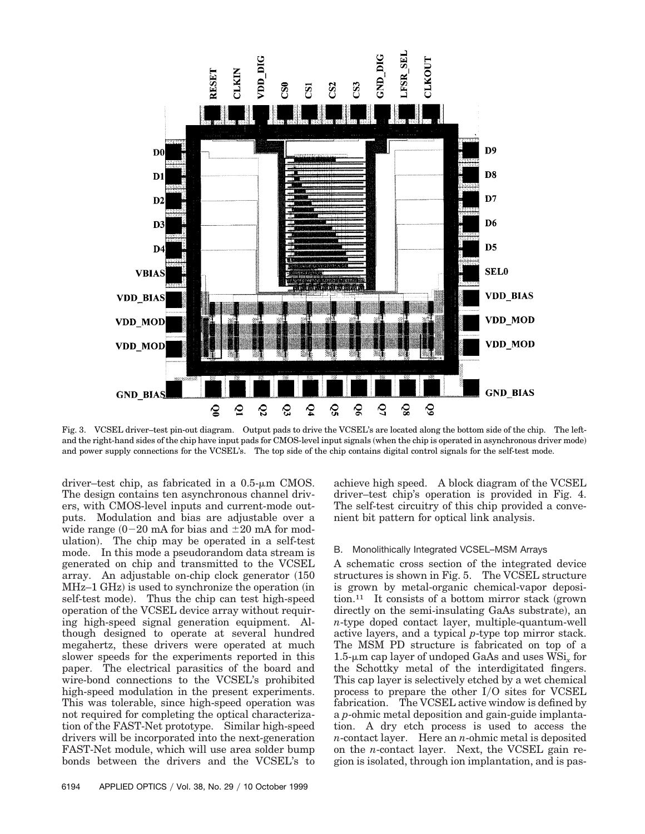

Fig. 3. VCSEL driver–test pin-out diagram. Output pads to drive the VCSEL's are located along the bottom side of the chip. The leftand the right-hand sides of the chip have input pads for CMOS-level input signals (when the chip is operated in asynchronous driver mode) and power supply connections for the VCSEL's. The top side of the chip contains digital control signals for the self-test mode.

driver–test chip, as fabricated in a  $0.5$ - $\mu$ m CMOS. The design contains ten asynchronous channel drivers, with CMOS-level inputs and current-mode outputs. Modulation and bias are adjustable over a wide range  $(0-20 \text{ mA}$  for bias and  $\pm 20 \text{ mA}$  for modulation). The chip may be operated in a self-test mode. In this mode a pseudorandom data stream is generated on chip and transmitted to the VCSEL array. An adjustable on-chip clock generator  $(150$  $MHz-1$   $GHz$ ) is used to synchronize the operation (in self-test mode). Thus the chip can test high-speed operation of the VCSEL device array without requiring high-speed signal generation equipment. Although designed to operate at several hundred megahertz, these drivers were operated at much slower speeds for the experiments reported in this paper. The electrical parasitics of the board and wire-bond connections to the VCSEL's prohibited high-speed modulation in the present experiments. This was tolerable, since high-speed operation was not required for completing the optical characterization of the FAST-Net prototype. Similar high-speed drivers will be incorporated into the next-generation FAST-Net module, which will use area solder bump bonds between the drivers and the VCSEL's to

achieve high speed. A block diagram of the VCSEL driver–test chip's operation is provided in Fig. 4. The self-test circuitry of this chip provided a convenient bit pattern for optical link analysis.

#### B. Monolithically Integrated VCSEL–MSM Arrays

A schematic cross section of the integrated device structures is shown in Fig. 5. The VCSEL structure is grown by metal-organic chemical-vapor deposi- $\lim_{n \to \infty}$  It consists of a bottom mirror stack (grown directly on the semi-insulating GaAs substrate), an *n*-type doped contact layer, multiple-quantum-well active layers, and a typical *p*-type top mirror stack. The MSM PD structure is fabricated on top of a 1.5-mm cap layer of undoped GaAs and uses WSi*<sup>x</sup>* for the Schottky metal of the interdigitated fingers. This cap layer is selectively etched by a wet chemical process to prepare the other  $I/O$  sites for  $VCSEL$ fabrication. The VCSEL active window is defined by a *p*-ohmic metal deposition and gain-guide implantation. A dry etch process is used to access the *n*-contact layer. Here an *n*-ohmic metal is deposited on the *n*-contact layer. Next, the VCSEL gain region is isolated, through ion implantation, and is pas-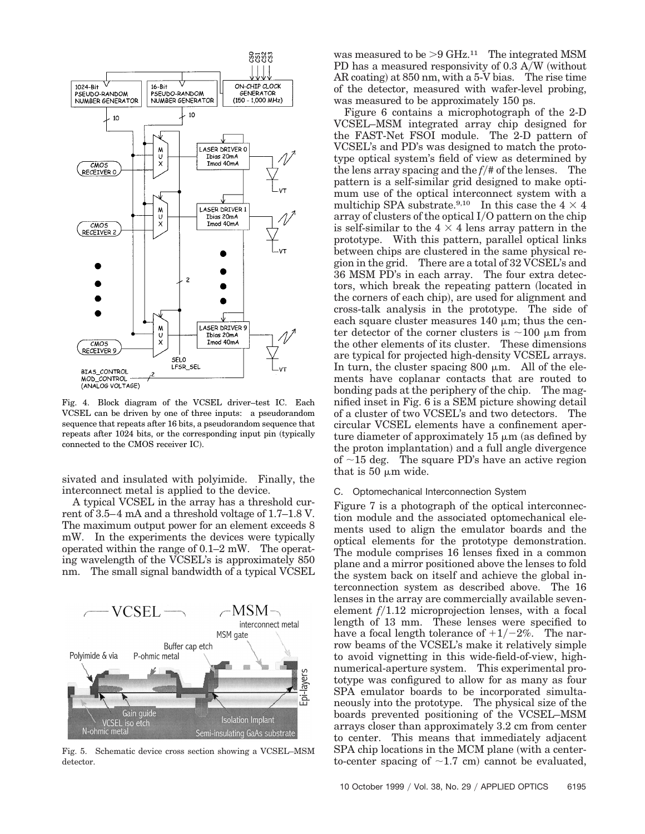

Fig. 4. Block diagram of the VCSEL driver–test IC. Each VCSEL can be driven by one of three inputs: a pseudorandom sequence that repeats after 16 bits, a pseudorandom sequence that repeats after 1024 bits, or the corresponding input pin (typically connected to the CMOS receiver IC).

sivated and insulated with polyimide. Finally, the interconnect metal is applied to the device.

A typical VCSEL in the array has a threshold current of 3.5–4 mA and a threshold voltage of 1.7–1.8 V. The maximum output power for an element exceeds 8 mW. In the experiments the devices were typically operated within the range of 0.1–2 mW. The operating wavelength of the VCSEL's is approximately 850 nm. The small signal bandwidth of a typical VCSEL



Fig. 5. Schematic device cross section showing a VCSEL–MSM detector.

was measured to be  $>9$  GHz.<sup>11</sup> The integrated MSM PD has a measured responsivity of  $0.3$  A/W (without AR coating) at  $850 \text{ nm}$ , with a  $5\text{-}V$  bias. The rise time of the detector, measured with wafer-level probing, was measured to be approximately 150 ps.

Figure 6 contains a microphotograph of the 2-D VCSEL–MSM integrated array chip designed for the FAST-Net FSOI module. The 2-D pattern of VCSEL's and PD's was designed to match the prototype optical system's field of view as determined by the lens array spacing and the  $f$ /# of the lenses. The pattern is a self-similar grid designed to make optimum use of the optical interconnect system with a multichip SPA substrate.<sup>9,10</sup> In this case the  $4 \times 4$ array of clusters of the optical  $I/O$  pattern on the chip is self-similar to the  $4 \times 4$  lens array pattern in the prototype. With this pattern, parallel optical links between chips are clustered in the same physical region in the grid. There are a total of 32 VCSEL's and 36 MSM PD's in each array. The four extra detectors, which break the repeating pattern (located in the corners of each chip), are used for alignment and cross-talk analysis in the prototype. The side of each square cluster measures  $140 \mu m$ ; thus the center detector of the corner clusters is  $\sim$ 100  $\mu$ m from the other elements of its cluster. These dimensions are typical for projected high-density VCSEL arrays. In turn, the cluster spacing 800  $\mu$ m. All of the elements have coplanar contacts that are routed to bonding pads at the periphery of the chip. The magnified inset in Fig. 6 is a SEM picture showing detail of a cluster of two VCSEL's and two detectors. The circular VCSEL elements have a confinement aperture diameter of approximately 15  $\mu$ m (as defined by the proton implantation) and a full angle divergence of  $\sim$ 15 deg. The square PD's have an active region that is 50  $\mu$ m wide.

## C. Optomechanical Interconnection System

Figure 7 is a photograph of the optical interconnection module and the associated optomechanical elements used to align the emulator boards and the optical elements for the prototype demonstration. The module comprises 16 lenses fixed in a common plane and a mirror positioned above the lenses to fold the system back on itself and achieve the global interconnection system as described above. The 16 lenses in the array are commercially available sevenelement  $f/1.12$  microprojection lenses, with a focal length of 13 mm. These lenses were specified to have a focal length tolerance of  $+1/-2\%$ . The narrow beams of the VCSEL's make it relatively simple to avoid vignetting in this wide-field-of-view, highnumerical-aperture system. This experimental prototype was configured to allow for as many as four SPA emulator boards to be incorporated simultaneously into the prototype. The physical size of the boards prevented positioning of the VCSEL–MSM arrays closer than approximately 3.2 cm from center to center. This means that immediately adjacent  $SPA$  chip locations in the MCM plane (with a centerto-center spacing of  $\sim$ 1.7 cm) cannot be evaluated,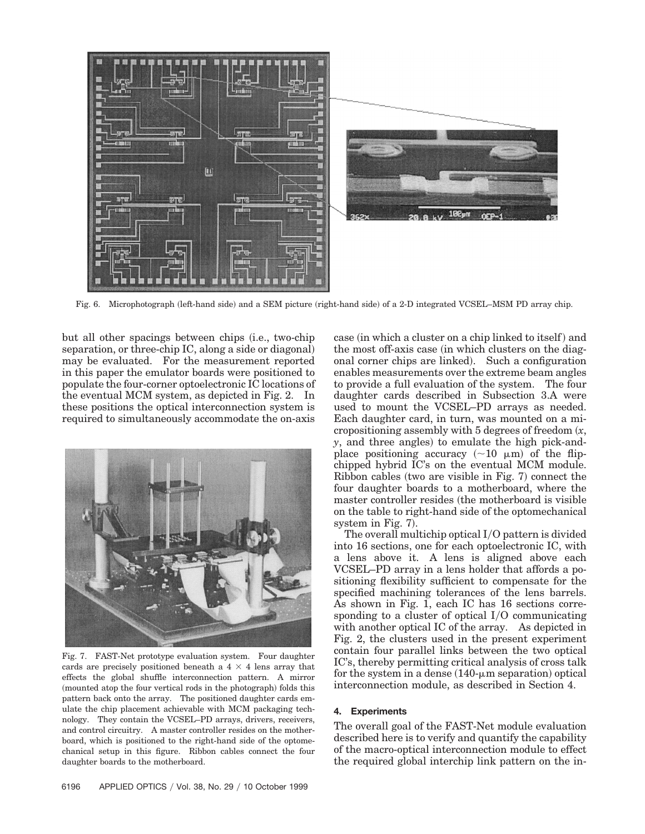

Fig. 6. Microphotograph (left-hand side) and a SEM picture (right-hand side) of a 2-D integrated VCSEL–MSM PD array chip.

but all other spacings between chips (i.e., two-chip separation, or three-chip IC, along a side or diagonal) may be evaluated. For the measurement reported in this paper the emulator boards were positioned to populate the four-corner optoelectronic IC locations of the eventual MCM system, as depicted in Fig. 2. In these positions the optical interconnection system is required to simultaneously accommodate the on-axis



Fig. 7. FAST-Net prototype evaluation system. Four daughter cards are precisely positioned beneath a  $4 \times 4$  lens array that effects the global shuffle interconnection pattern. A mirror (mounted atop the four vertical rods in the photograph) folds this pattern back onto the array. The positioned daughter cards emulate the chip placement achievable with MCM packaging technology. They contain the VCSEL–PD arrays, drivers, receivers, and control circuitry. A master controller resides on the motherboard, which is positioned to the right-hand side of the optomechanical setup in this figure. Ribbon cables connect the four daughter boards to the motherboard.

case (in which a cluster on a chip linked to itself) and the most off-axis case (in which clusters on the diagonal corner chips are linked). Such a configuration enables measurements over the extreme beam angles to provide a full evaluation of the system. The four daughter cards described in Subsection 3.A were used to mount the VCSEL–PD arrays as needed. Each daughter card, in turn, was mounted on a micropositioning assembly with  $5$  degrees of freedom  $(x, \, \cdot)$  $\gamma$ , and three angles) to emulate the high pick-andplace positioning accuracy  $({\sim}10 \mu m)$  of the flipchipped hybrid IC's on the eventual MCM module.  $Ribbon$  cables (two are visible in Fig. 7) connect the four daughter boards to a motherboard, where the master controller resides (the motherboard is visible on the table to right-hand side of the optomechanical system in Fig. 7).

The overall multichip optical  $I/O$  pattern is divided into 16 sections, one for each optoelectronic IC, with a lens above it. A lens is aligned above each VCSEL–PD array in a lens holder that affords a positioning flexibility sufficient to compensate for the specified machining tolerances of the lens barrels. As shown in Fig. 1, each IC has 16 sections corresponding to a cluster of optical  $I/O$  communicating with another optical IC of the array. As depicted in Fig. 2, the clusters used in the present experiment contain four parallel links between the two optical IC's, thereby permitting critical analysis of cross talk for the system in a dense  $(140$ - $\mu$ m separation) optical interconnection module, as described in Section 4.

#### **4. Experiments**

The overall goal of the FAST-Net module evaluation described here is to verify and quantify the capability of the macro-optical interconnection module to effect the required global interchip link pattern on the in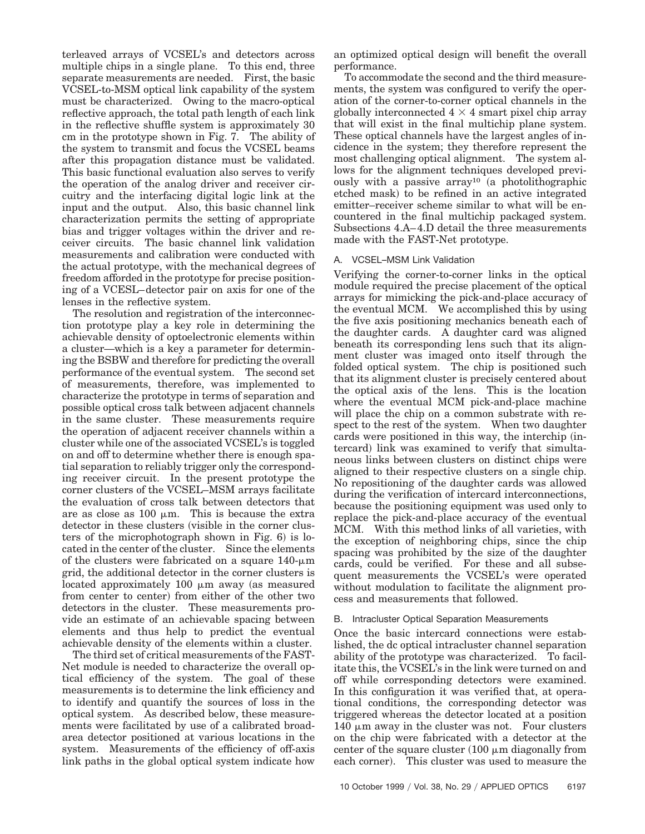terleaved arrays of VCSEL's and detectors across multiple chips in a single plane. To this end, three separate measurements are needed. First, the basic VCSEL-to-MSM optical link capability of the system must be characterized. Owing to the macro-optical reflective approach, the total path length of each link in the reflective shuffle system is approximately 30 cm in the prototype shown in Fig. 7. The ability of the system to transmit and focus the VCSEL beams after this propagation distance must be validated. This basic functional evaluation also serves to verify the operation of the analog driver and receiver circuitry and the interfacing digital logic link at the input and the output. Also, this basic channel link characterization permits the setting of appropriate bias and trigger voltages within the driver and receiver circuits. The basic channel link validation measurements and calibration were conducted with the actual prototype, with the mechanical degrees of freedom afforded in the prototype for precise positioning of a VCESL–detector pair on axis for one of the lenses in the reflective system.

The resolution and registration of the interconnection prototype play a key role in determining the achievable density of optoelectronic elements within a cluster—which is a key a parameter for determining the BSBW and therefore for predicting the overall performance of the eventual system. The second set of measurements, therefore, was implemented to characterize the prototype in terms of separation and possible optical cross talk between adjacent channels in the same cluster. These measurements require the operation of adjacent receiver channels within a cluster while one of the associated VCSEL's is toggled on and off to determine whether there is enough spatial separation to reliably trigger only the corresponding receiver circuit. In the present prototype the corner clusters of the VCSEL–MSM arrays facilitate the evaluation of cross talk between detectors that are as close as  $100 \mu m$ . This is because the extra detector in these clusters (visible in the corner clusters of the microphotograph shown in Fig.  $6$  is located in the center of the cluster. Since the elements of the clusters were fabricated on a square  $140$ - $\mu$ m grid, the additional detector in the corner clusters is located approximately 100  $\mu$ m away (as measured from center to center) from either of the other two detectors in the cluster. These measurements provide an estimate of an achievable spacing between elements and thus help to predict the eventual achievable density of the elements within a cluster.

The third set of critical measurements of the FAST-Net module is needed to characterize the overall optical efficiency of the system. The goal of these measurements is to determine the link efficiency and to identify and quantify the sources of loss in the optical system. As described below, these measurements were facilitated by use of a calibrated broadarea detector positioned at various locations in the system. Measurements of the efficiency of off-axis link paths in the global optical system indicate how

an optimized optical design will benefit the overall performance.

To accommodate the second and the third measurements, the system was configured to verify the operation of the corner-to-corner optical channels in the globally interconnected  $4 \times 4$  smart pixel chip array that will exist in the final multichip plane system. These optical channels have the largest angles of incidence in the system; they therefore represent the most challenging optical alignment. The system allows for the alignment techniques developed previously with a passive array<sup>10</sup> (a photolithographic etched mask) to be refined in an active integrated emitter–receiver scheme similar to what will be encountered in the final multichip packaged system. Subsections 4.A–4.D detail the three measurements made with the FAST-Net prototype.

## A. VCSEL–MSM Link Validation

Verifying the corner-to-corner links in the optical module required the precise placement of the optical arrays for mimicking the pick-and-place accuracy of the eventual MCM. We accomplished this by using the five axis positioning mechanics beneath each of the daughter cards. A daughter card was aligned beneath its corresponding lens such that its alignment cluster was imaged onto itself through the folded optical system. The chip is positioned such that its alignment cluster is precisely centered about the optical axis of the lens. This is the location where the eventual MCM pick-and-place machine will place the chip on a common substrate with respect to the rest of the system. When two daughter cards were positioned in this way, the interchip  $(in$ tercard) link was examined to verify that simultaneous links between clusters on distinct chips were aligned to their respective clusters on a single chip. No repositioning of the daughter cards was allowed during the verification of intercard interconnections, because the positioning equipment was used only to replace the pick-and-place accuracy of the eventual MCM. With this method links of all varieties, with the exception of neighboring chips, since the chip spacing was prohibited by the size of the daughter cards, could be verified. For these and all subsequent measurements the VCSEL's were operated without modulation to facilitate the alignment process and measurements that followed.

# B. Intracluster Optical Separation Measurements

Once the basic intercard connections were established, the dc optical intracluster channel separation ability of the prototype was characterized. To facilitate this, the VCSEL's in the link were turned on and off while corresponding detectors were examined. In this configuration it was verified that, at operational conditions, the corresponding detector was triggered whereas the detector located at a position  $140 \mu m$  away in the cluster was not. Four clusters on the chip were fabricated with a detector at the center of the square cluster  $(100 \mu m)$  diagonally from each corner). This cluster was used to measure the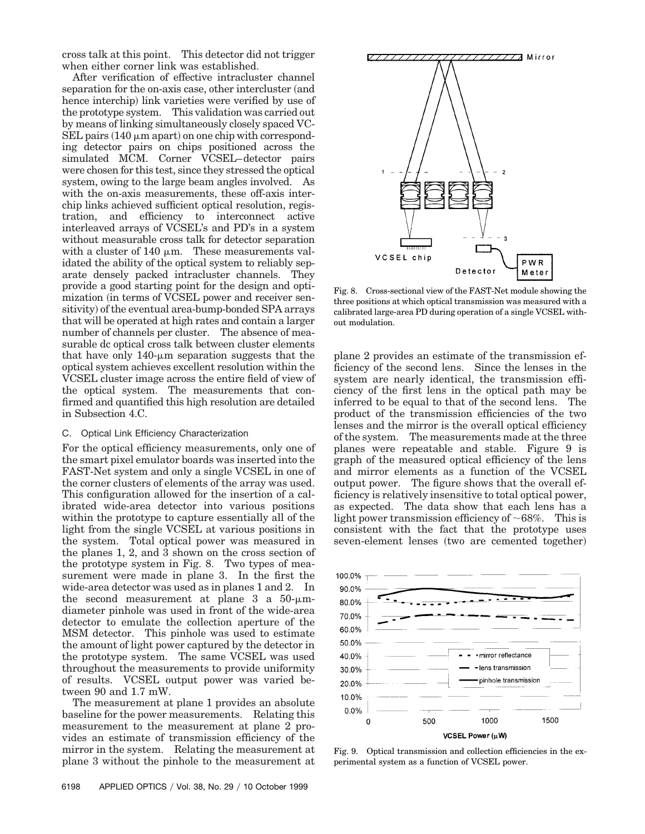cross talk at this point. This detector did not trigger when either corner link was established.

After verification of effective intracluster channel separation for the on-axis case, other intercluster (and hence interchip) link varieties were verified by use of the prototype system. This validation was carried out by means of linking simultaneously closely spaced VC- $SEL$  pairs  $(140 \mu m$  apart) on one chip with corresponding detector pairs on chips positioned across the simulated MCM. Corner VCSEL–detector pairs were chosen for this test, since they stressed the optical system, owing to the large beam angles involved. As with the on-axis measurements, these off-axis interchip links achieved sufficient optical resolution, registration, and efficiency to interconnect active interleaved arrays of VCSEL's and PD's in a system without measurable cross talk for detector separation with a cluster of 140  $\mu$ m. These measurements validated the ability of the optical system to reliably separate densely packed intracluster channels. They provide a good starting point for the design and optimization (in terms of VCSEL power and receiver sensitivity) of the eventual area-bump-bonded SPA arrays that will be operated at high rates and contain a larger number of channels per cluster. The absence of measurable dc optical cross talk between cluster elements that have only  $140$ - $\mu$ m separation suggests that the optical system achieves excellent resolution within the VCSEL cluster image across the entire field of view of the optical system. The measurements that confirmed and quantified this high resolution are detailed in Subsection 4.C.

#### C. Optical Link Efficiency Characterization

For the optical efficiency measurements, only one of the smart pixel emulator boards was inserted into the FAST-Net system and only a single VCSEL in one of the corner clusters of elements of the array was used. This configuration allowed for the insertion of a calibrated wide-area detector into various positions within the prototype to capture essentially all of the light from the single VCSEL at various positions in the system. Total optical power was measured in the planes 1, 2, and 3 shown on the cross section of the prototype system in Fig. 8. Two types of measurement were made in plane 3. In the first the wide-area detector was used as in planes 1 and 2. In the second measurement at plane 3 a  $50-\mu m$ diameter pinhole was used in front of the wide-area detector to emulate the collection aperture of the MSM detector. This pinhole was used to estimate the amount of light power captured by the detector in the prototype system. The same VCSEL was used throughout the measurements to provide uniformity of results. VCSEL output power was varied between 90 and 1.7 mW.

The measurement at plane 1 provides an absolute baseline for the power measurements. Relating this measurement to the measurement at plane 2 provides an estimate of transmission efficiency of the mirror in the system. Relating the measurement at plane 3 without the pinhole to the measurement at



Fig. 8. Cross-sectional view of the FAST-Net module showing the three positions at which optical transmission was measured with a calibrated large-area PD during operation of a single VCSEL without modulation.

plane 2 provides an estimate of the transmission efficiency of the second lens. Since the lenses in the system are nearly identical, the transmission efficiency of the first lens in the optical path may be inferred to be equal to that of the second lens. The product of the transmission efficiencies of the two lenses and the mirror is the overall optical efficiency of the system. The measurements made at the three planes were repeatable and stable. Figure 9 is graph of the measured optical efficiency of the lens and mirror elements as a function of the VCSEL output power. The figure shows that the overall efficiency is relatively insensitive to total optical power, as expected. The data show that each lens has a light power transmission efficiency of  $~68\%$ . This is consistent with the fact that the prototype uses seven-element lenses (two are cemented together)



Fig. 9. Optical transmission and collection efficiencies in the experimental system as a function of VCSEL power.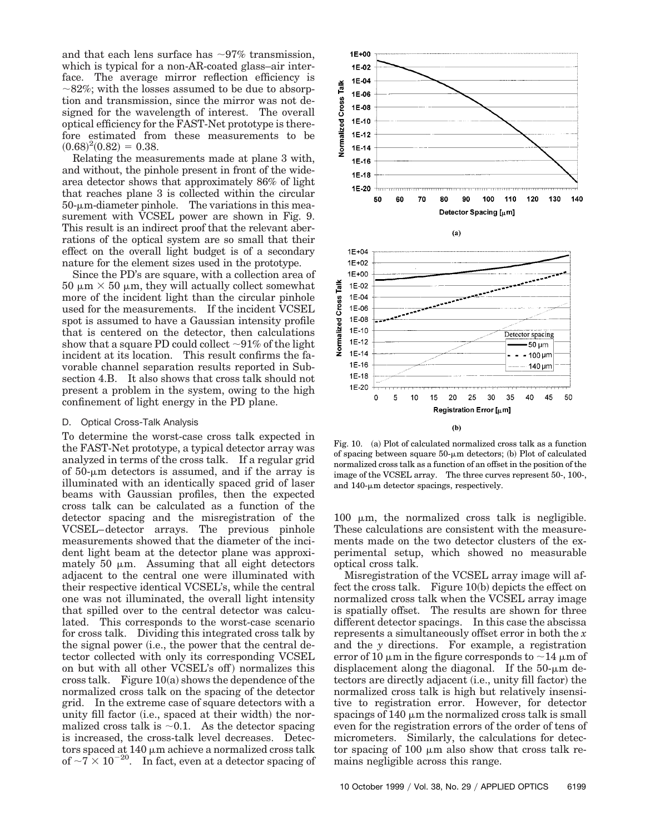and that each lens surface has  $\sim 97\%$  transmission, which is typical for a non-AR-coated glass–air interface. The average mirror reflection efficiency is  $\sim$ 82%; with the losses assumed to be due to absorption and transmission, since the mirror was not designed for the wavelength of interest. The overall optical efficiency for the FAST-Net prototype is therefore estimated from these measurements to be  $(0.68)^2(0.82) = 0.38.$ 

Relating the measurements made at plane 3 with, and without, the pinhole present in front of the widearea detector shows that approximately 86% of light that reaches plane 3 is collected within the circular  $50$ - $\mu$ m-diameter pinhole. The variations in this measurement with VCSEL power are shown in Fig. 9. This result is an indirect proof that the relevant aberrations of the optical system are so small that their effect on the overall light budget is of a secondary nature for the element sizes used in the prototype.

Since the PD's are square, with a collection area of  $50 \mu m \times 50 \mu m$ , they will actually collect somewhat more of the incident light than the circular pinhole used for the measurements. If the incident VCSEL spot is assumed to have a Gaussian intensity profile that is centered on the detector, then calculations show that a square PD could collect  $\sim$ 91% of the light incident at its location. This result confirms the favorable channel separation results reported in Subsection 4.B. It also shows that cross talk should not present a problem in the system, owing to the high confinement of light energy in the PD plane.

#### D. Optical Cross-Talk Analysis

To determine the worst-case cross talk expected in the FAST-Net prototype, a typical detector array was analyzed in terms of the cross talk. If a regular grid of  $50$ - $\mu$ m detectors is assumed, and if the array is illuminated with an identically spaced grid of laser beams with Gaussian profiles, then the expected cross talk can be calculated as a function of the detector spacing and the misregistration of the VCSEL–detector arrays. The previous pinhole measurements showed that the diameter of the incident light beam at the detector plane was approximately 50  $\mu$ m. Assuming that all eight detectors adjacent to the central one were illuminated with their respective identical VCSEL's, while the central one was not illuminated, the overall light intensity that spilled over to the central detector was calculated. This corresponds to the worst-case scenario for cross talk. Dividing this integrated cross talk by the signal power (i.e., the power that the central detector collected with only its corresponding VCSEL on but with all other VCSEL's off) normalizes this cross talk. Figure  $10(a)$  shows the dependence of the normalized cross talk on the spacing of the detector grid. In the extreme case of square detectors with a unity fill factor (i.e., spaced at their width) the normalized cross talk is  $\sim 0.1$ . As the detector spacing is increased, the cross-talk level decreases. Detectors spaced at  $140 \mu m$  achieve a normalized cross talk of  $\sim$ 7  $\times$  10<sup>-20</sup>. In fact, even at a detector spacing of



Fig. 10. (a) Plot of calculated normalized cross talk as a function of spacing between square  $50$ - $\mu$ m detectors; (b) Plot of calculated normalized cross talk as a function of an offset in the position of the image of the VCSEL array. The three curves represent 50-, 100-, and  $140$ - $\mu$ m detector spacings, respectively.

100  $\mu$ m, the normalized cross talk is negligible. These calculations are consistent with the measurements made on the two detector clusters of the experimental setup, which showed no measurable optical cross talk.

Misregistration of the VCSEL array image will affect the cross talk. Figure  $10(b)$  depicts the effect on normalized cross talk when the VCSEL array image is spatially offset. The results are shown for three different detector spacings. In this case the abscissa represents a simultaneously offset error in both the *x* and the *y* directions. For example, a registration error of 10  $\mu$ m in the figure corresponds to  $\sim$ 14  $\mu$ m of displacement along the diagonal. If the  $50-\mu m$  detectors are directly adjacent (i.e., unity fill factor) the normalized cross talk is high but relatively insensitive to registration error. However, for detector spacings of  $140 \mu m$  the normalized cross talk is small even for the registration errors of the order of tens of micrometers. Similarly, the calculations for detector spacing of 100  $\mu$ m also show that cross talk remains negligible across this range.